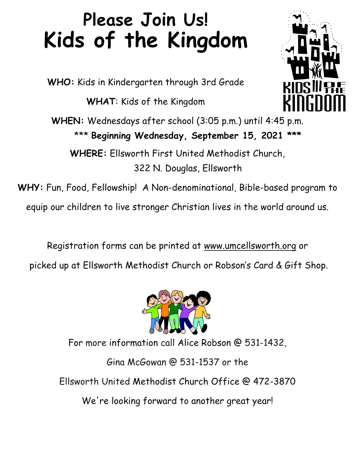# **Please Join Us! Kids of the Kingdom**

**WHO:** Kids in Kindergarten through 3rd Grade

**WHAT**: Kids of the Kingdom

**WHEN:** Wednesdays after school (3:05 p.m.) until 4:45 p.m. \*\*\* **Beginning Wednesday, September 15, 2021 \*\*\*** 

**WHERE:** Ellsworth First United Methodist Church, 322 N. Douglas, Ellsworth

**WHY:** Fun, Food, Fellowship! A Non-denominational, Bible-based program to

equip our children to live stronger Christian lives in the world around us.

Registration forms can be printed at www.umcellsworth.org or picked up at Ellsworth Methodist Church or Robson's Card & Gift Shop.



For more information call Alice Robson @ 531-1432,

Gina McGowan @ 531-1537 or the Ellsworth United Methodist Church Office @ 472-3870 We're looking forward to another great year!

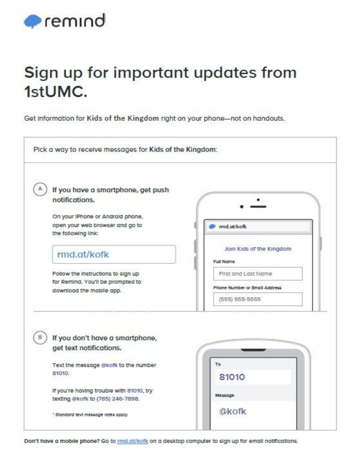

## Sign up for important updates from 1stUMC.

Get information for Kids of the Kingdom right on your phone-not on handouts.

| If you have a smartphone, get push                            |                               |
|---------------------------------------------------------------|-------------------------------|
| notifications.                                                |                               |
|                                                               |                               |
| On your IPhone or Android phone,                              |                               |
| open your web browser and go to<br>the following link:        | mnd.at/kofk                   |
|                                                               | Join Kids of the Kingdom      |
| rmd.at/kofk                                                   |                               |
|                                                               | Full Name                     |
| Follow the instructions to sign up                            | First and Last Name           |
| for Remind. You'll be prompted to<br>download the mobile app. | Phone Number or Email Address |
|                                                               | (555) 555-5555                |
| If you don't have a smartphone,<br>get text notifications.    |                               |
| Text the message @kofk to the number                          | To                            |
| 81010.                                                        | 81010                         |
| If you're having trouble with 81010, try                      |                               |
| texting @kofk to (785) 246-7898.                              | Message                       |
|                                                               | <b><i><u>@kofk</u></i></b>    |

Don't have a mobile phone? Go to md.at/kofk on a desktop computer to sign up for email notifications.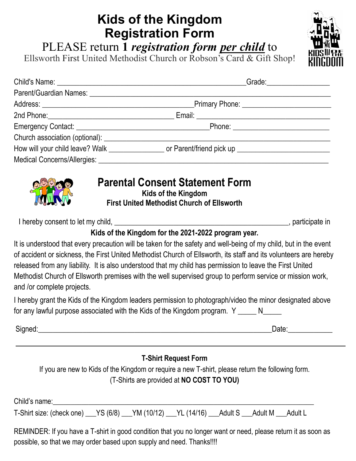## **Kids of the Kingdom Registration Form**

PLEASE return **1** *registration form per child* to

Ellsworth First United Methodist Church or Robson's Card & Gift Shop!

|                                            | Grade: ___________________                                                                          |
|--------------------------------------------|-----------------------------------------------------------------------------------------------------|
|                                            |                                                                                                     |
|                                            | Primary Phone: ______________________________                                                       |
|                                            |                                                                                                     |
|                                            |                                                                                                     |
|                                            |                                                                                                     |
|                                            | How will your child leave? Walk ________________ or Parent/friend pick up _________________________ |
| Medical Concerns/Allergies: ______________ |                                                                                                     |



#### **Parental Consent Statement Form**

**Kids of the Kingdom First United Methodist Church of Ellsworth**

I hereby consent to let my child, \_\_\_\_\_\_\_\_\_\_\_\_\_\_\_\_\_\_\_\_\_\_\_\_\_\_\_\_\_\_\_\_\_\_\_\_\_\_\_\_\_\_\_\_\_\_\_, participate in

#### **Kids of the Kingdom for the 2021-2022 program year.**

It is understood that every precaution will be taken for the safety and well-being of my child, but in the event of accident or sickness, the First United Methodist Church of Ellsworth, its staff and its volunteers are hereby released from any liability. It is also understood that my child has permission to leave the First United Methodist Church of Ellsworth premises with the well supervised group to perform service or mission work, and /or complete projects.

I hereby grant the Kids of the Kingdom leaders permission to photograph/video the minor designated above for any lawful purpose associated with the Kids of the Kingdom program.  $Y_{\text{max}}N_{\text{max}}$ 

Signed: etc. and the state of the state of the state of the state of the state of the Date:

#### **T-Shirt Request Form**

If you are new to Kids of the Kingdom or require a new T-shirt, please return the following form. (T-Shirts are provided at **NO COST TO YOU)**

Child's name:

T-Shirt size: (check one)  $YS (6/8)$  YM (10/12) YL (14/16) Adult S Adult M Adult L

REMINDER: If you have a T-shirt in good condition that you no longer want or need, please return it as soon as possible, so that we may order based upon supply and need. Thanks!!!!